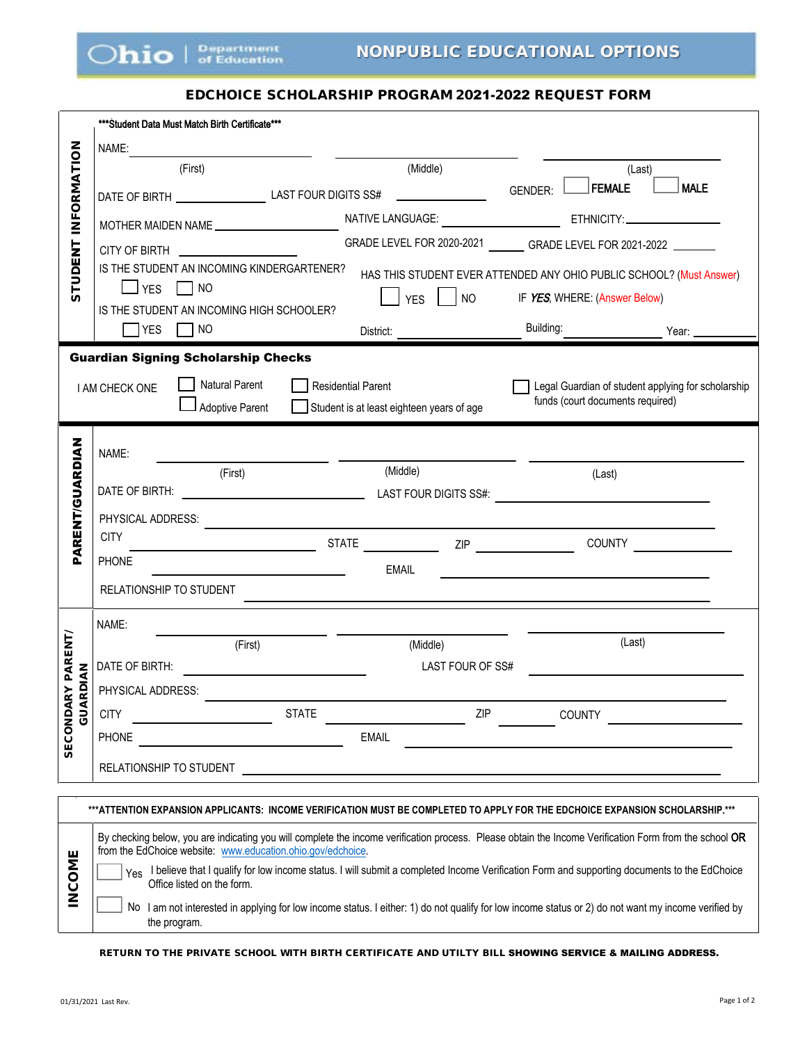

## EDCHOICE SCHOLARSHIP PROGRAM 2021-2022 REQUEST FORM

|                       | ***Student Data Must Match Birth Certificate***                                                                                                                                                                       |                                           |                             |                                                                       |                                                    |
|-----------------------|-----------------------------------------------------------------------------------------------------------------------------------------------------------------------------------------------------------------------|-------------------------------------------|-----------------------------|-----------------------------------------------------------------------|----------------------------------------------------|
|                       | NAME:                                                                                                                                                                                                                 |                                           |                             |                                                                       |                                                    |
|                       | (First)                                                                                                                                                                                                               | (Middle)                                  |                             |                                                                       | (Last)                                             |
|                       |                                                                                                                                                                                                                       |                                           |                             | FEMALE<br><b>GENDER:</b>                                              | <b>MALE</b>                                        |
| INFORMATION           | MOTHER MAIDEN NAME                                                                                                                                                                                                    |                                           |                             |                                                                       |                                                    |
|                       |                                                                                                                                                                                                                       |                                           |                             | GRADE LEVEL FOR 2020-2021 ________ GRADE LEVEL FOR 2021-2022 ________ |                                                    |
| <b>STUDENT</b>        | IS THE STUDENT AN INCOMING KINDERGARTENER?                                                                                                                                                                            |                                           |                             | HAS THIS STUDENT EVER ATTENDED ANY OHIO PUBLIC SCHOOL? (Must Answer)  |                                                    |
|                       | $\Box$ YES $\Box$ NO                                                                                                                                                                                                  | YES                                       | $\overline{\phantom{0}}$ NO | IF YES, WHERE: (Answer Below)                                         |                                                    |
|                       | IS THE STUDENT AN INCOMING HIGH SCHOOLER?<br>$\bigcap$ YES $\bigcap$ NO                                                                                                                                               |                                           |                             | Building:                                                             |                                                    |
|                       |                                                                                                                                                                                                                       |                                           |                             |                                                                       | Year:                                              |
|                       | <b>Guardian Signing Scholarship Checks</b>                                                                                                                                                                            |                                           |                             |                                                                       |                                                    |
|                       | <b>Natural Parent</b><br><b>I AM CHECK ONE</b>                                                                                                                                                                        | <b>Residential Parent</b>                 |                             | funds (court documents required)                                      | Legal Guardian of student applying for scholarship |
|                       | <b>Adoptive Parent</b>                                                                                                                                                                                                | Student is at least eighteen years of age |                             |                                                                       |                                                    |
|                       | NAME:                                                                                                                                                                                                                 |                                           |                             |                                                                       |                                                    |
|                       | (First)                                                                                                                                                                                                               | (Middle)                                  |                             | (Last)                                                                |                                                    |
|                       |                                                                                                                                                                                                                       |                                           |                             |                                                                       |                                                    |
|                       | PHYSICAL ADDRESS:                                                                                                                                                                                                     |                                           |                             |                                                                       |                                                    |
| <b>ARENT/GUARDIAN</b> | <b>CITY</b>                                                                                                                                                                                                           |                                           |                             |                                                                       | COUNTY <u>______________</u>                       |
|                       | <b>PHONE</b>                                                                                                                                                                                                          | <b>EMAIL</b>                              |                             |                                                                       |                                                    |
|                       | RELATIONSHIP TO STUDENT                                                                                                                                                                                               |                                           |                             |                                                                       |                                                    |
|                       | NAME:                                                                                                                                                                                                                 |                                           |                             |                                                                       |                                                    |
| <b>PARENT/</b>        | (First)                                                                                                                                                                                                               | (Middle)                                  |                             | (Last)                                                                |                                                    |
|                       | DATE OF BIRTH:                                                                                                                                                                                                        |                                           | LAST FOUR OF SS#            |                                                                       |                                                    |
| GUARDIAN              | PHYSICAL ADDRESS:                                                                                                                                                                                                     |                                           |                             |                                                                       |                                                    |
| <b>SECONDARY</b>      | <b>CITY</b><br><b>STATE</b>                                                                                                                                                                                           |                                           | ZIP                         | <b>COUNTY</b>                                                         |                                                    |
|                       | <b>PHONE</b>                                                                                                                                                                                                          | <b>EMAIL</b>                              |                             |                                                                       |                                                    |
|                       | RELATIONSHIP TO STUDENT                                                                                                                                                                                               |                                           |                             |                                                                       |                                                    |
|                       |                                                                                                                                                                                                                       |                                           |                             |                                                                       |                                                    |
|                       | ***ATTENTION EXPANSION APPLICANTS: INCOME VERIFICATION MUST BE COMPLETED TO APPLY FOR THE EDCHOICE EXPANSION SCHOLARSHIP.***                                                                                          |                                           |                             |                                                                       |                                                    |
|                       | By checking below, you are indicating you will complete the income verification process. Please obtain the Income Verification Form from the school OR<br>from the EdChoice website: www.education.ohio.gov/edchoice. |                                           |                             |                                                                       |                                                    |
|                       | Yes I believe that I qualify for low income status. I will submit a completed Income Verification Form and supporting documents to the EdChoice                                                                       |                                           |                             |                                                                       |                                                    |
| <b>INCOME</b>         | Office listed on the form.<br>No I am not interested in applying for low income status. I either: 1) do not qualify for low income status or 2) do not want my income verified by                                     |                                           |                             |                                                                       |                                                    |
|                       | the program.                                                                                                                                                                                                          |                                           |                             |                                                                       |                                                    |
|                       | RETURN TO THE PRIVATE SCHOOL WITH BIRTH CERTIFICATE AND UTILTY BILL <b>SHOWING SERVICE &amp; MAILING ADDRESS.</b>                                                                                                     |                                           |                             |                                                                       |                                                    |